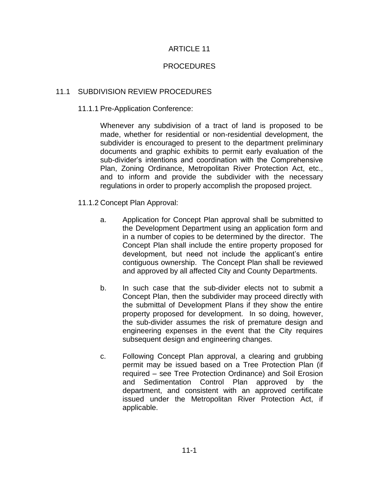## ARTICLE 11

## PROCEDURES

## 11.1 SUBDIVISION REVIEW PROCEDURES

## 11.1.1 Pre-Application Conference:

Whenever any subdivision of a tract of land is proposed to be made, whether for residential or non-residential development, the subdivider is encouraged to present to the department preliminary documents and graphic exhibits to permit early evaluation of the sub-divider's intentions and coordination with the Comprehensive Plan, Zoning Ordinance, Metropolitan River Protection Act, etc., and to inform and provide the subdivider with the necessary regulations in order to properly accomplish the proposed project.

## 11.1.2 Concept Plan Approval:

- a. Application for Concept Plan approval shall be submitted to the Development Department using an application form and in a number of copies to be determined by the director. The Concept Plan shall include the entire property proposed for development, but need not include the applicant's entire contiguous ownership. The Concept Plan shall be reviewed and approved by all affected City and County Departments.
- b. In such case that the sub-divider elects not to submit a Concept Plan, then the subdivider may proceed directly with the submittal of Development Plans if they show the entire property proposed for development. In so doing, however, the sub-divider assumes the risk of premature design and engineering expenses in the event that the City requires subsequent design and engineering changes.
- c. Following Concept Plan approval, a clearing and grubbing permit may be issued based on a Tree Protection Plan (if required – see Tree Protection Ordinance) and Soil Erosion and Sedimentation Control Plan approved by the department, and consistent with an approved certificate issued under the Metropolitan River Protection Act, if applicable.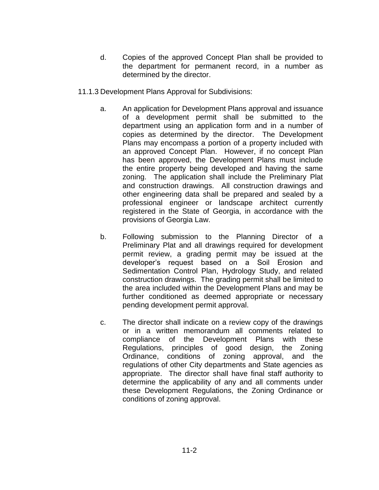- d. Copies of the approved Concept Plan shall be provided to the department for permanent record, in a number as determined by the director.
- 11.1.3 Development Plans Approval for Subdivisions:
	- a. An application for Development Plans approval and issuance of a development permit shall be submitted to the department using an application form and in a number of copies as determined by the director. The Development Plans may encompass a portion of a property included with an approved Concept Plan. However, if no concept Plan has been approved, the Development Plans must include the entire property being developed and having the same zoning. The application shall include the Preliminary Plat and construction drawings. All construction drawings and other engineering data shall be prepared and sealed by a professional engineer or landscape architect currently registered in the State of Georgia, in accordance with the provisions of Georgia Law.
	- b. Following submission to the Planning Director of a Preliminary Plat and all drawings required for development permit review, a grading permit may be issued at the developer's request based on a Soil Erosion and Sedimentation Control Plan, Hydrology Study, and related construction drawings. The grading permit shall be limited to the area included within the Development Plans and may be further conditioned as deemed appropriate or necessary pending development permit approval.
	- c. The director shall indicate on a review copy of the drawings or in a written memorandum all comments related to compliance of the Development Plans with these Regulations, principles of good design, the Zoning Ordinance, conditions of zoning approval, and the regulations of other City departments and State agencies as appropriate. The director shall have final staff authority to determine the applicability of any and all comments under these Development Regulations, the Zoning Ordinance or conditions of zoning approval.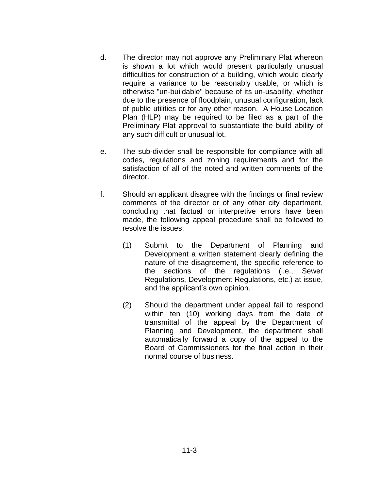- d. The director may not approve any Preliminary Plat whereon is shown a lot which would present particularly unusual difficulties for construction of a building, which would clearly require a variance to be reasonably usable, or which is otherwise "un-buildable" because of its un-usability, whether due to the presence of floodplain, unusual configuration, lack of public utilities or for any other reason. A House Location Plan (HLP) may be required to be filed as a part of the Preliminary Plat approval to substantiate the build ability of any such difficult or unusual lot.
- e. The sub-divider shall be responsible for compliance with all codes, regulations and zoning requirements and for the satisfaction of all of the noted and written comments of the director.
- f. Should an applicant disagree with the findings or final review comments of the director or of any other city department, concluding that factual or interpretive errors have been made, the following appeal procedure shall be followed to resolve the issues.
	- (1) Submit to the Department of Planning and Development a written statement clearly defining the nature of the disagreement, the specific reference to the sections of the regulations (i.e., Sewer Regulations, Development Regulations, etc.) at issue, and the applicant's own opinion.
	- (2) Should the department under appeal fail to respond within ten (10) working days from the date of transmittal of the appeal by the Department of Planning and Development, the department shall automatically forward a copy of the appeal to the Board of Commissioners for the final action in their normal course of business.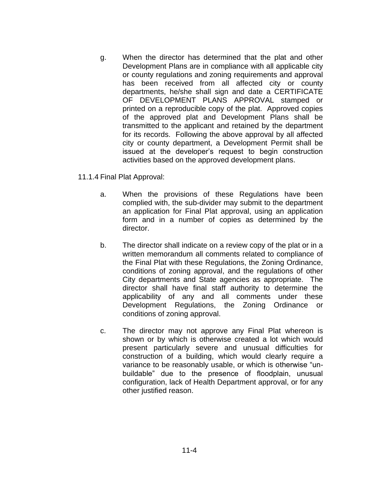g. When the director has determined that the plat and other Development Plans are in compliance with all applicable city or county regulations and zoning requirements and approval has been received from all affected city or county departments, he/she shall sign and date a CERTIFICATE OF DEVELOPMENT PLANS APPROVAL stamped or printed on a reproducible copy of the plat. Approved copies of the approved plat and Development Plans shall be transmitted to the applicant and retained by the department for its records. Following the above approval by all affected city or county department, a Development Permit shall be issued at the developer's request to begin construction activities based on the approved development plans.

11.1.4 Final Plat Approval:

- a. When the provisions of these Regulations have been complied with, the sub-divider may submit to the department an application for Final Plat approval, using an application form and in a number of copies as determined by the director.
- b. The director shall indicate on a review copy of the plat or in a written memorandum all comments related to compliance of the Final Plat with these Regulations, the Zoning Ordinance, conditions of zoning approval, and the regulations of other City departments and State agencies as appropriate. The director shall have final staff authority to determine the applicability of any and all comments under these Development Regulations, the Zoning Ordinance or conditions of zoning approval.
- c. The director may not approve any Final Plat whereon is shown or by which is otherwise created a lot which would present particularly severe and unusual difficulties for construction of a building, which would clearly require a variance to be reasonably usable, or which is otherwise "unbuildable" due to the presence of floodplain, unusual configuration, lack of Health Department approval, or for any other justified reason.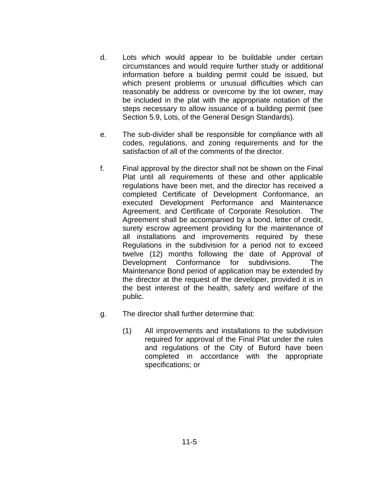- d. Lots which would appear to be buildable under certain circumstances and would require further study or additional information before a building permit could be issued, but which present problems or unusual difficulties which can reasonably be address or overcome by the lot owner, may be included in the plat with the appropriate notation of the steps necessary to allow issuance of a building permit (see Section 5.9, Lots, of the General Design Standards).
- e. The sub-divider shall be responsible for compliance with all codes, regulations, and zoning requirements and for the satisfaction of all of the comments of the director.
- f. Final approval by the director shall not be shown on the Final Plat until all requirements of these and other applicable regulations have been met, and the director has received a completed Certificate of Development Conformance, an executed Development Performance and Maintenance Agreement, and Certificate of Corporate Resolution. The Agreement shall be accompanied by a bond, letter of credit, surety escrow agreement providing for the maintenance of all installations and improvements required by these Regulations in the subdivision for a period not to exceed twelve (12) months following the date of Approval of Development Conformance for subdivisions. The Maintenance Bond period of application may be extended by the director at the request of the developer, provided it is in the best interest of the health, safety and welfare of the public.
- g. The director shall further determine that:
	- (1) All improvements and installations to the subdivision required for approval of the Final Plat under the rules and regulations of the City of Buford have been completed in accordance with the appropriate specifications; or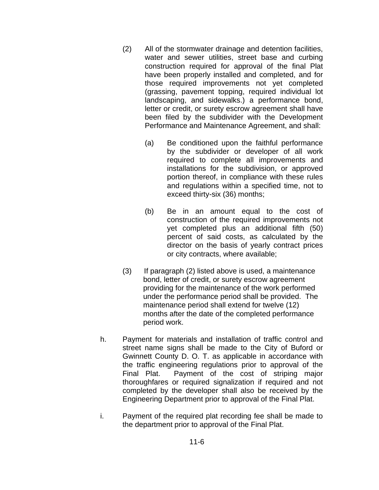- (2) All of the stormwater drainage and detention facilities, water and sewer utilities, street base and curbing construction required for approval of the final Plat have been properly installed and completed, and for those required improvements not yet completed (grassing, pavement topping, required individual lot landscaping, and sidewalks.) a performance bond, letter or credit, or surety escrow agreement shall have been filed by the subdivider with the Development Performance and Maintenance Agreement, and shall:
	- (a) Be conditioned upon the faithful performance by the subdivider or developer of all work required to complete all improvements and installations for the subdivision, or approved portion thereof, in compliance with these rules and regulations within a specified time, not to exceed thirty-six (36) months;
	- (b) Be in an amount equal to the cost of construction of the required improvements not yet completed plus an additional fifth (50) percent of said costs, as calculated by the director on the basis of yearly contract prices or city contracts, where available;
- (3) If paragraph (2) listed above is used, a maintenance bond, letter of credit, or surety escrow agreement providing for the maintenance of the work performed under the performance period shall be provided. The maintenance period shall extend for twelve (12) months after the date of the completed performance period work.
- h. Payment for materials and installation of traffic control and street name signs shall be made to the City of Buford or Gwinnett County D. O. T. as applicable in accordance with the traffic engineering regulations prior to approval of the Final Plat. Payment of the cost of striping major thoroughfares or required signalization if required and not completed by the developer shall also be received by the Engineering Department prior to approval of the Final Plat.
- i. Payment of the required plat recording fee shall be made to the department prior to approval of the Final Plat.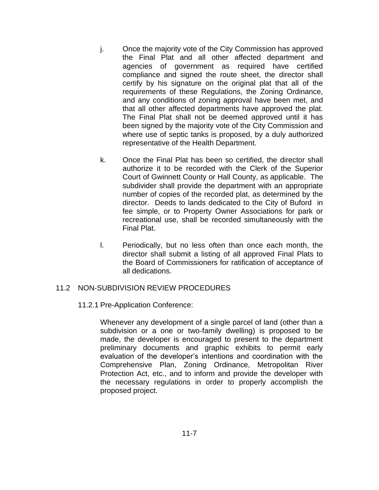- j. Once the majority vote of the City Commission has approved the Final Plat and all other affected department and agencies of government as required have certified compliance and signed the route sheet, the director shall certify by his signature on the original plat that all of the requirements of these Regulations, the Zoning Ordinance, and any conditions of zoning approval have been met, and that all other affected departments have approved the plat. The Final Plat shall not be deemed approved until it has been signed by the majority vote of the City Commission and where use of septic tanks is proposed, by a duly authorized representative of the Health Department.
- k. Once the Final Plat has been so certified, the director shall authorize it to be recorded with the Clerk of the Superior Court of Gwinnett County or Hall County, as applicable. The subdivider shall provide the department with an appropriate number of copies of the recorded plat, as determined by the director. Deeds to lands dedicated to the City of Buford in fee simple, or to Property Owner Associations for park or recreational use, shall be recorded simultaneously with the Final Plat.
- l. Periodically, but no less often than once each month, the director shall submit a listing of all approved Final Plats to the Board of Commissioners for ratification of acceptance of all dedications.

#### 11.2 NON-SUBDIVISION REVIEW PROCEDURES

11.2.1 Pre-Application Conference:

Whenever any development of a single parcel of land (other than a subdivision or a one or two-family dwelling) is proposed to be made, the developer is encouraged to present to the department preliminary documents and graphic exhibits to permit early evaluation of the developer's intentions and coordination with the Comprehensive Plan, Zoning Ordinance, Metropolitan River Protection Act, etc., and to inform and provide the developer with the necessary regulations in order to properly accomplish the proposed project.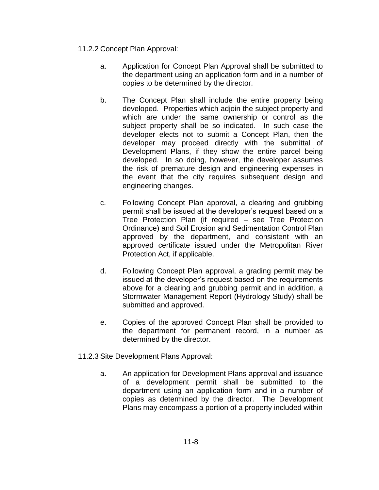# 11.2.2 Concept Plan Approval:

- a. Application for Concept Plan Approval shall be submitted to the department using an application form and in a number of copies to be determined by the director.
- b. The Concept Plan shall include the entire property being developed. Properties which adjoin the subject property and which are under the same ownership or control as the subject property shall be so indicated. In such case the developer elects not to submit a Concept Plan, then the developer may proceed directly with the submittal of Development Plans, if they show the entire parcel being developed. In so doing, however, the developer assumes the risk of premature design and engineering expenses in the event that the city requires subsequent design and engineering changes.
- c. Following Concept Plan approval, a clearing and grubbing permit shall be issued at the developer's request based on a Tree Protection Plan (if required – see Tree Protection Ordinance) and Soil Erosion and Sedimentation Control Plan approved by the department, and consistent with an approved certificate issued under the Metropolitan River Protection Act, if applicable.
- d. Following Concept Plan approval, a grading permit may be issued at the developer's request based on the requirements above for a clearing and grubbing permit and in addition, a Stormwater Management Report (Hydrology Study) shall be submitted and approved.
- e. Copies of the approved Concept Plan shall be provided to the department for permanent record, in a number as determined by the director.
- 11.2.3 Site Development Plans Approval:
	- a. An application for Development Plans approval and issuance of a development permit shall be submitted to the department using an application form and in a number of copies as determined by the director. The Development Plans may encompass a portion of a property included within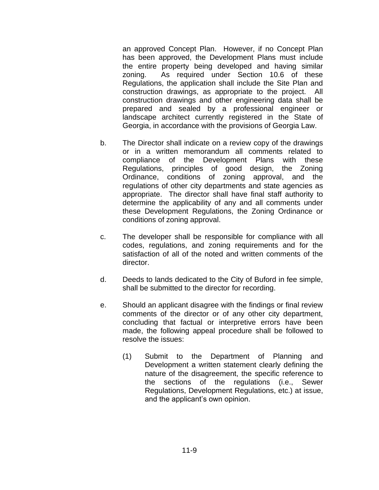an approved Concept Plan. However, if no Concept Plan has been approved, the Development Plans must include the entire property being developed and having similar zoning. As required under Section 10.6 of these Regulations, the application shall include the Site Plan and construction drawings, as appropriate to the project. All construction drawings and other engineering data shall be prepared and sealed by a professional engineer or landscape architect currently registered in the State of Georgia, in accordance with the provisions of Georgia Law.

- b. The Director shall indicate on a review copy of the drawings or in a written memorandum all comments related to compliance of the Development Plans with these Regulations, principles of good design, the Zoning Ordinance, conditions of zoning approval, and the regulations of other city departments and state agencies as appropriate. The director shall have final staff authority to determine the applicability of any and all comments under these Development Regulations, the Zoning Ordinance or conditions of zoning approval.
- c. The developer shall be responsible for compliance with all codes, regulations, and zoning requirements and for the satisfaction of all of the noted and written comments of the director.
- d. Deeds to lands dedicated to the City of Buford in fee simple, shall be submitted to the director for recording.
- e. Should an applicant disagree with the findings or final review comments of the director or of any other city department, concluding that factual or interpretive errors have been made, the following appeal procedure shall be followed to resolve the issues:
	- (1) Submit to the Department of Planning and Development a written statement clearly defining the nature of the disagreement, the specific reference to the sections of the regulations (i.e., Sewer Regulations, Development Regulations, etc.) at issue, and the applicant's own opinion.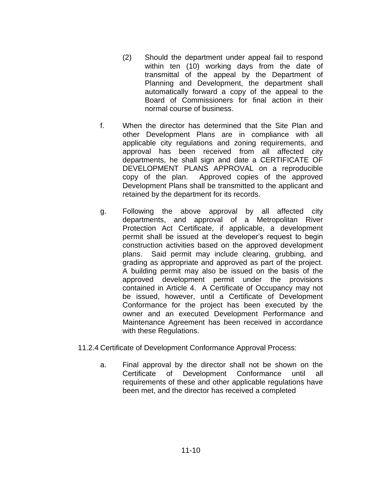- (2) Should the department under appeal fail to respond within ten (10) working days from the date of transmittal of the appeal by the Department of Planning and Development, the department shall automatically forward a copy of the appeal to the Board of Commissioners for final action in their normal course of business.
- f. When the director has determined that the Site Plan and other Development Plans are in compliance with all applicable city regulations and zoning requirements, and approval has been received from all affected city departments, he shall sign and date a CERTIFICATE OF DEVELOPMENT PLANS APPROVAL on a reproducible copy of the plan. Approved copies of the approved Development Plans shall be transmitted to the applicant and retained by the department for its records.
- g. Following the above approval by all affected city departments, and approval of a Metropolitan River Protection Act Certificate, if applicable, a development permit shall be issued at the developer's request to begin construction activities based on the approved development plans. Said permit may include clearing, grubbing, and grading as appropriate and approved as part of the project. A building permit may also be issued on the basis of the approved development permit under the provisions contained in Article 4. A Certificate of Occupancy may not be issued, however, until a Certificate of Development Conformance for the project has been executed by the owner and an executed Development Performance and Maintenance Agreement has been received in accordance with these Regulations.
- 11.2.4 Certificate of Development Conformance Approval Process:
	- a. Final approval by the director shall not be shown on the Certificate of Development Conformance until all requirements of these and other applicable regulations have been met, and the director has received a completed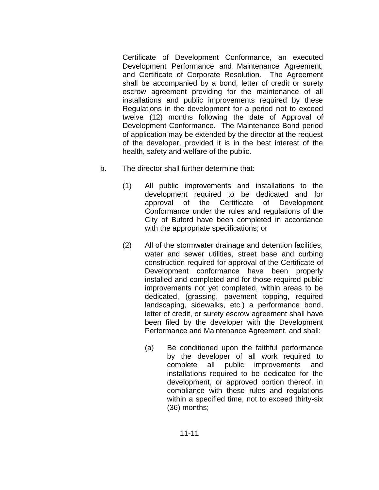Certificate of Development Conformance, an executed Development Performance and Maintenance Agreement, and Certificate of Corporate Resolution. The Agreement shall be accompanied by a bond, letter of credit or surety escrow agreement providing for the maintenance of all installations and public improvements required by these Regulations in the development for a period not to exceed twelve (12) months following the date of Approval of Development Conformance. The Maintenance Bond period of application may be extended by the director at the request of the developer, provided it is in the best interest of the health, safety and welfare of the public.

- b. The director shall further determine that:
	- (1) All public improvements and installations to the development required to be dedicated and for approval of the Certificate of Development Conformance under the rules and regulations of the City of Buford have been completed in accordance with the appropriate specifications; or
	- (2) All of the stormwater drainage and detention facilities, water and sewer utilities, street base and curbing construction required for approval of the Certificate of Development conformance have been properly installed and completed and for those required public improvements not yet completed, within areas to be dedicated, (grassing, pavement topping, required landscaping, sidewalks, etc.) a performance bond, letter of credit, or surety escrow agreement shall have been filed by the developer with the Development Performance and Maintenance Agreement, and shall:
		- (a) Be conditioned upon the faithful performance by the developer of all work required to complete all public improvements and installations required to be dedicated for the development, or approved portion thereof, in compliance with these rules and regulations within a specified time, not to exceed thirty-six (36) months;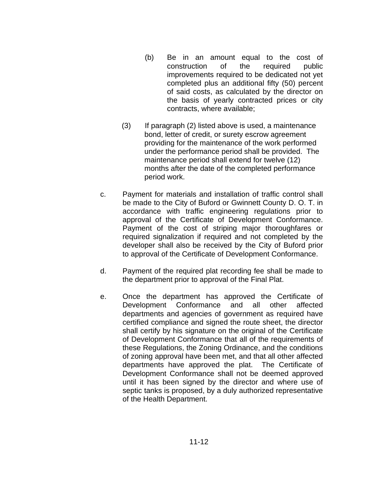- (b) Be in an amount equal to the cost of construction of the required public improvements required to be dedicated not yet completed plus an additional fifty (50) percent of said costs, as calculated by the director on the basis of yearly contracted prices or city contracts, where available;
- (3) If paragraph (2) listed above is used, a maintenance bond, letter of credit, or surety escrow agreement providing for the maintenance of the work performed under the performance period shall be provided. The maintenance period shall extend for twelve (12) months after the date of the completed performance period work.
- c. Payment for materials and installation of traffic control shall be made to the City of Buford or Gwinnett County D. O. T. in accordance with traffic engineering regulations prior to approval of the Certificate of Development Conformance. Payment of the cost of striping major thoroughfares or required signalization if required and not completed by the developer shall also be received by the City of Buford prior to approval of the Certificate of Development Conformance.
- d. Payment of the required plat recording fee shall be made to the department prior to approval of the Final Plat.
- e. Once the department has approved the Certificate of Development Conformance and all other affected departments and agencies of government as required have certified compliance and signed the route sheet, the director shall certify by his signature on the original of the Certificate of Development Conformance that all of the requirements of these Regulations, the Zoning Ordinance, and the conditions of zoning approval have been met, and that all other affected departments have approved the plat. The Certificate of Development Conformance shall not be deemed approved until it has been signed by the director and where use of septic tanks is proposed, by a duly authorized representative of the Health Department.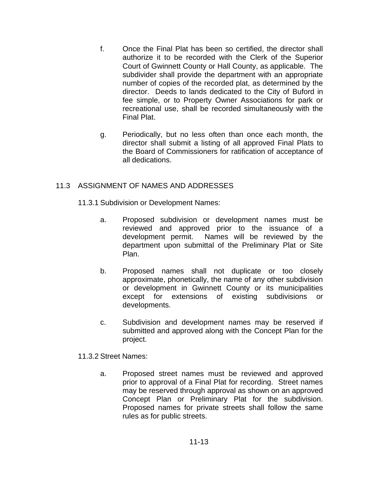- f. Once the Final Plat has been so certified, the director shall authorize it to be recorded with the Clerk of the Superior Court of Gwinnett County or Hall County, as applicable. The subdivider shall provide the department with an appropriate number of copies of the recorded plat, as determined by the director. Deeds to lands dedicated to the City of Buford in fee simple, or to Property Owner Associations for park or recreational use, shall be recorded simultaneously with the Final Plat.
- g. Periodically, but no less often than once each month, the director shall submit a listing of all approved Final Plats to the Board of Commissioners for ratification of acceptance of all dedications.

## 11.3 ASSIGNMENT OF NAMES AND ADDRESSES

- 11.3.1 Subdivision or Development Names:
	- a. Proposed subdivision or development names must be reviewed and approved prior to the issuance of a development permit. Names will be reviewed by the department upon submittal of the Preliminary Plat or Site Plan.
	- b. Proposed names shall not duplicate or too closely approximate, phonetically, the name of any other subdivision or development in Gwinnett County or its municipalities except for extensions of existing subdivisions or developments.
	- c. Subdivision and development names may be reserved if submitted and approved along with the Concept Plan for the project.

11.3.2 Street Names:

a. Proposed street names must be reviewed and approved prior to approval of a Final Plat for recording. Street names may be reserved through approval as shown on an approved Concept Plan or Preliminary Plat for the subdivision. Proposed names for private streets shall follow the same rules as for public streets.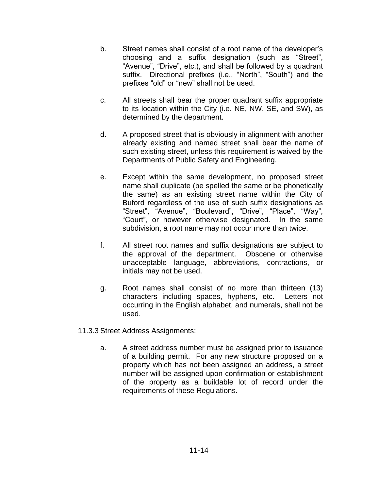- b. Street names shall consist of a root name of the developer's choosing and a suffix designation (such as "Street", "Avenue", "Drive", etc.), and shall be followed by a quadrant suffix. Directional prefixes (i.e., "North", "South") and the prefixes "old" or "new" shall not be used.
- c. All streets shall bear the proper quadrant suffix appropriate to its location within the City (i.e. NE, NW, SE, and SW), as determined by the department.
- d. A proposed street that is obviously in alignment with another already existing and named street shall bear the name of such existing street, unless this requirement is waived by the Departments of Public Safety and Engineering.
- e. Except within the same development, no proposed street name shall duplicate (be spelled the same or be phonetically the same) as an existing street name within the City of Buford regardless of the use of such suffix designations as "Street", "Avenue", "Boulevard", "Drive", "Place", "Way", "Court", or however otherwise designated. In the same subdivision, a root name may not occur more than twice.
- f. All street root names and suffix designations are subject to the approval of the department. Obscene or otherwise unacceptable language, abbreviations, contractions, or initials may not be used.
- g. Root names shall consist of no more than thirteen (13) characters including spaces, hyphens, etc. Letters not occurring in the English alphabet, and numerals, shall not be used.
- 11.3.3 Street Address Assignments:
	- a. A street address number must be assigned prior to issuance of a building permit. For any new structure proposed on a property which has not been assigned an address, a street number will be assigned upon confirmation or establishment of the property as a buildable lot of record under the requirements of these Regulations.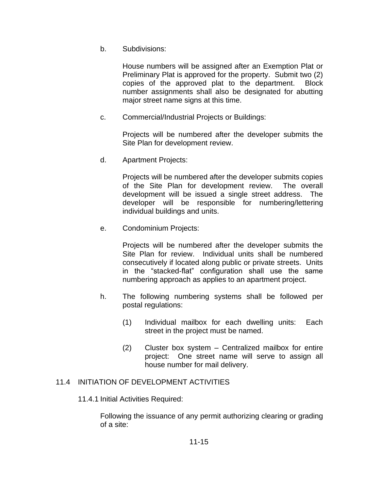b. Subdivisions:

House numbers will be assigned after an Exemption Plat or Preliminary Plat is approved for the property. Submit two (2) copies of the approved plat to the department. Block number assignments shall also be designated for abutting major street name signs at this time.

c. Commercial/Industrial Projects or Buildings:

Projects will be numbered after the developer submits the Site Plan for development review.

d. Apartment Projects:

Projects will be numbered after the developer submits copies of the Site Plan for development review. The overall development will be issued a single street address. The developer will be responsible for numbering/lettering individual buildings and units.

e. Condominium Projects:

Projects will be numbered after the developer submits the Site Plan for review. Individual units shall be numbered consecutively if located along public or private streets. Units in the "stacked-flat" configuration shall use the same numbering approach as applies to an apartment project.

- h. The following numbering systems shall be followed per postal regulations:
	- (1) Individual mailbox for each dwelling units: Each street in the project must be named.
	- (2) Cluster box system Centralized mailbox for entire project: One street name will serve to assign all house number for mail delivery.

# 11.4 INITIATION OF DEVELOPMENT ACTIVITIES

## 11.4.1 Initial Activities Required:

Following the issuance of any permit authorizing clearing or grading of a site: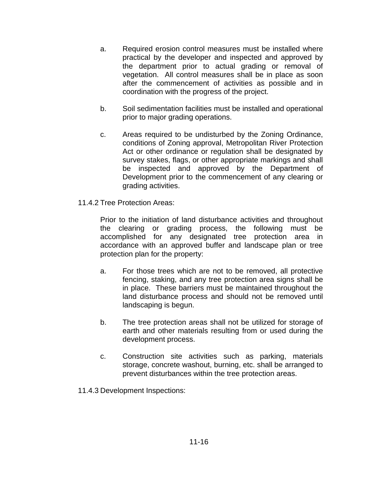- a. Required erosion control measures must be installed where practical by the developer and inspected and approved by the department prior to actual grading or removal of vegetation. All control measures shall be in place as soon after the commencement of activities as possible and in coordination with the progress of the project.
- b. Soil sedimentation facilities must be installed and operational prior to major grading operations.
- c. Areas required to be undisturbed by the Zoning Ordinance, conditions of Zoning approval, Metropolitan River Protection Act or other ordinance or regulation shall be designated by survey stakes, flags, or other appropriate markings and shall be inspected and approved by the Department of Development prior to the commencement of any clearing or grading activities.
- 11.4.2 Tree Protection Areas:

Prior to the initiation of land disturbance activities and throughout the clearing or grading process, the following must be accomplished for any designated tree protection area in accordance with an approved buffer and landscape plan or tree protection plan for the property:

- a. For those trees which are not to be removed, all protective fencing, staking, and any tree protection area signs shall be in place. These barriers must be maintained throughout the land disturbance process and should not be removed until landscaping is begun.
- b. The tree protection areas shall not be utilized for storage of earth and other materials resulting from or used during the development process.
- c. Construction site activities such as parking, materials storage, concrete washout, burning, etc. shall be arranged to prevent disturbances within the tree protection areas.
- 11.4.3 Development Inspections: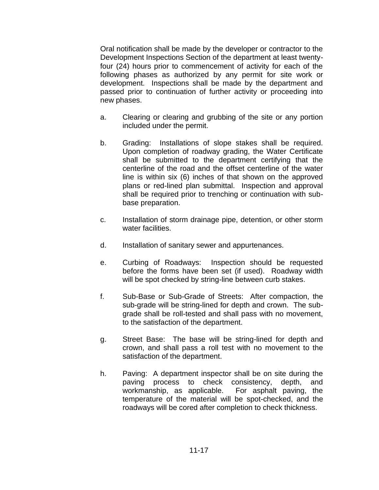Oral notification shall be made by the developer or contractor to the Development Inspections Section of the department at least twentyfour (24) hours prior to commencement of activity for each of the following phases as authorized by any permit for site work or development. Inspections shall be made by the department and passed prior to continuation of further activity or proceeding into new phases.

- a. Clearing or clearing and grubbing of the site or any portion included under the permit.
- b. Grading: Installations of slope stakes shall be required. Upon completion of roadway grading, the Water Certificate shall be submitted to the department certifying that the centerline of the road and the offset centerline of the water line is within six (6) inches of that shown on the approved plans or red-lined plan submittal. Inspection and approval shall be required prior to trenching or continuation with subbase preparation.
- c. Installation of storm drainage pipe, detention, or other storm water facilities.
- d. Installation of sanitary sewer and appurtenances.
- e. Curbing of Roadways: Inspection should be requested before the forms have been set (if used). Roadway width will be spot checked by string-line between curb stakes.
- f. Sub-Base or Sub-Grade of Streets: After compaction, the sub-grade will be string-lined for depth and crown. The subgrade shall be roll-tested and shall pass with no movement, to the satisfaction of the department.
- g. Street Base: The base will be string-lined for depth and crown, and shall pass a roll test with no movement to the satisfaction of the department.
- h. Paving: A department inspector shall be on site during the paving process to check consistency, depth, and workmanship, as applicable. For asphalt paving, the temperature of the material will be spot-checked, and the roadways will be cored after completion to check thickness.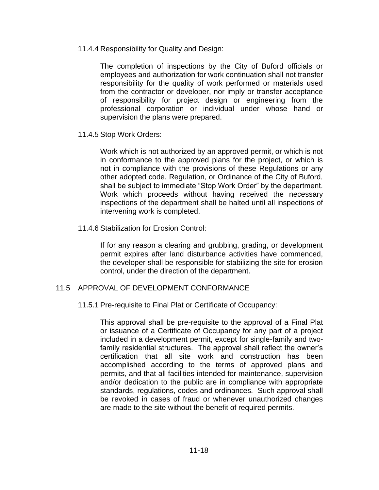11.4.4 Responsibility for Quality and Design:

The completion of inspections by the City of Buford officials or employees and authorization for work continuation shall not transfer responsibility for the quality of work performed or materials used from the contractor or developer, nor imply or transfer acceptance of responsibility for project design or engineering from the professional corporation or individual under whose hand or supervision the plans were prepared.

11.4.5 Stop Work Orders:

Work which is not authorized by an approved permit, or which is not in conformance to the approved plans for the project, or which is not in compliance with the provisions of these Regulations or any other adopted code, Regulation, or Ordinance of the City of Buford, shall be subject to immediate "Stop Work Order" by the department. Work which proceeds without having received the necessary inspections of the department shall be halted until all inspections of intervening work is completed.

11.4.6 Stabilization for Erosion Control:

If for any reason a clearing and grubbing, grading, or development permit expires after land disturbance activities have commenced, the developer shall be responsible for stabilizing the site for erosion control, under the direction of the department.

## 11.5 APPROVAL OF DEVELOPMENT CONFORMANCE

11.5.1 Pre-requisite to Final Plat or Certificate of Occupancy:

This approval shall be pre-requisite to the approval of a Final Plat or issuance of a Certificate of Occupancy for any part of a project included in a development permit, except for single-family and twofamily residential structures. The approval shall reflect the owner's certification that all site work and construction has been accomplished according to the terms of approved plans and permits, and that all facilities intended for maintenance, supervision and/or dedication to the public are in compliance with appropriate standards, regulations, codes and ordinances. Such approval shall be revoked in cases of fraud or whenever unauthorized changes are made to the site without the benefit of required permits.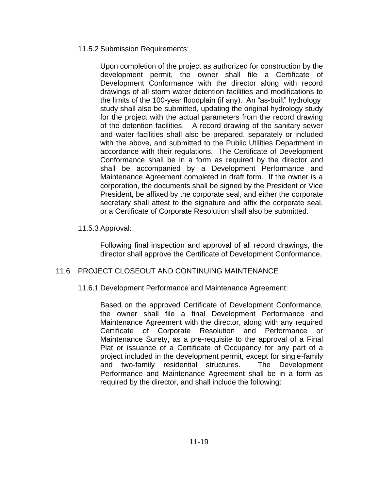## 11.5.2 Submission Requirements:

Upon completion of the project as authorized for construction by the development permit, the owner shall file a Certificate of Development Conformance with the director along with record drawings of all storm water detention facilities and modifications to the limits of the 100-year floodplain (if any). An "as-built" hydrology study shall also be submitted, updating the original hydrology study for the project with the actual parameters from the record drawing of the detention facilities. A record drawing of the sanitary sewer and water facilities shall also be prepared, separately or included with the above, and submitted to the Public Utilities Department in accordance with their regulations. The Certificate of Development Conformance shall be in a form as required by the director and shall be accompanied by a Development Performance and Maintenance Agreement completed in draft form. If the owner is a corporation, the documents shall be signed by the President or Vice President, be affixed by the corporate seal, and either the corporate secretary shall attest to the signature and affix the corporate seal, or a Certificate of Corporate Resolution shall also be submitted.

## 11.5.3 Approval:

Following final inspection and approval of all record drawings, the director shall approve the Certificate of Development Conformance.

# 11.6 PROJECT CLOSEOUT AND CONTINUING MAINTENANCE

11.6.1 Development Performance and Maintenance Agreement:

Based on the approved Certificate of Development Conformance, the owner shall file a final Development Performance and Maintenance Agreement with the director, along with any required Certificate of Corporate Resolution and Performance or Maintenance Surety, as a pre-requisite to the approval of a Final Plat or issuance of a Certificate of Occupancy for any part of a project included in the development permit, except for single-family and two-family residential structures. The Development Performance and Maintenance Agreement shall be in a form as required by the director, and shall include the following: